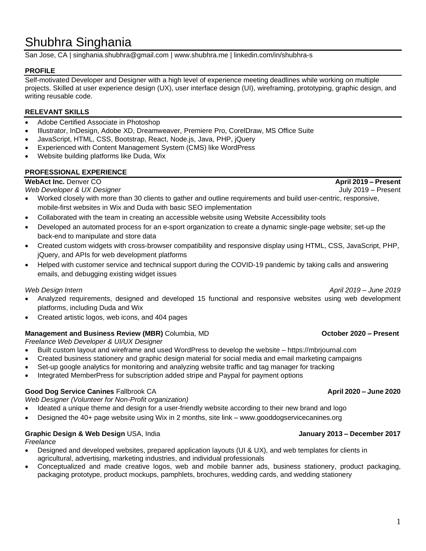# Shubhra Singhania

San Jose, CA | [singhania.shubhra@gmail.com](mailto:singhania.shubhra@gmail.com) | www.shubhra.[me | linkedin.com/in](http://www.shubhra.me/)[/shubhra-s](https://www.linkedin.com/in/shubhra-s/) 

## **PROFILE**

Self-motivated Developer and Designer with a high level of experience meeting deadlines while working on multiple projects. Skilled at user experience design (UX), user interface design (UI), wireframing, prototyping, graphic design, and writing reusable code.

## **RELEVANT SKILLS**

- Adobe Certified Associate in Photoshop
- Illustrator, InDesign, Adobe XD, Dreamweaver, Premiere Pro, CorelDraw, MS Office Suite
- JavaScript, HTML, CSS, Bootstrap, React, Node.js, Java, PHP, jQuery
- Experienced with Content Management System (CMS) like WordPress
- Website building platforms like Duda, Wix

## **PROFESSIONAL EXPERIENCE**

**WebAct Inc.** Denver CO **April 2019 – Present**

*Web Developer & UX Designer*July 2019 – Present

- Worked closely with more than 30 clients to gather and outline requirements and build user-centric, responsive, mobile-first websites in Wix and Duda with basic SEO implementation
- Collaborated with the team in creating an accessible website using Website Accessibility tools
- Developed an automated process for an e-sport organization to create a dynamic single-page website; set-up the back-end to manipulate and store data
- Created custom widgets with cross-browser compatibility and responsive display using HTML, CSS, JavaScript, PHP, jQuery, and APIs for web development platforms
- Helped with customer service and technical support during the COVID-19 pandemic by taking calls and answering emails, and debugging existing widget issues

## *Web Design Intern April 2019 – June 2019*

- Analyzed requirements, designed and developed 15 functional and responsive websites using web development platforms, including Duda and Wix
- Created artistic logos, web icons, and 404 pages

## **Management and Business Review (MBR)** Columbia, MD **Columbia, MD Columbia** *Columbia* **Columbia Columbia Columbia Columbia Columbia Columbia Columbia Columbia Columbia Columbia Columbia Columbia**

*Freelance Web Developer & UI/UX Designer*

- Built custom layout and wireframe and used WordPress to develop the website [https://mbrjournal.com](https://mbrjournal.com/)
- Created business stationery and graphic design material for social media and email marketing campaigns
- Set-up google analytics for monitoring and analyzing website traffic and tag manager for tracking
- Integrated MemberPress for subscription added stripe and Paypal for payment options

## **Good Dog Service Canines** Fallbrook CA **April 2020 – June 2020**

*Web Designer (Volunteer for Non-Profit organization)*

• Ideated a unique theme and design for a user-friendly website according to their new brand and logo

• Designed the 40+ page website using Wix in 2 months, site link – [www.gooddogservicecanines.org](http://www.gooddogservicecanines.org/)

## **Graphic Design & Web Design** USA, India **January 2013 – December 2017**

## *Freelance*

- Designed and developed websites, prepared application layouts (UI & UX), and web templates for clients in agricultural, advertising, marketing industries, and individual professionals
- Conceptualized and made creative logos, web and mobile banner ads, business stationery, product packaging, packaging prototype, product mockups, pamphlets, brochures, wedding cards, and wedding stationery

### 1